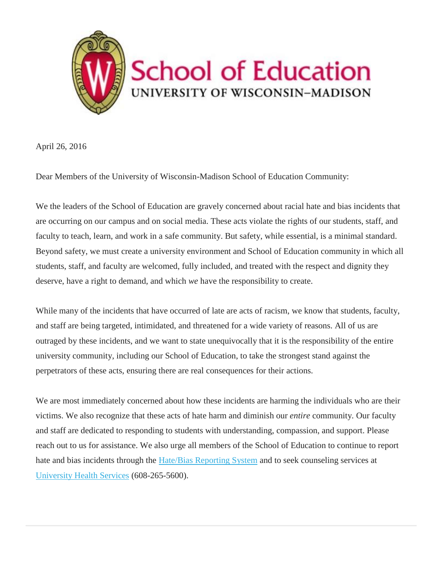

April 26, 2016

Dear Members of the University of Wisconsin-Madison School of Education Community:

We the leaders of the School of Education are gravely concerned about racial hate and bias incidents that are occurring on our campus and on social media. These acts violate the rights of our students, staff, and faculty to teach, learn, and work in a safe community. But safety, while essential, is a minimal standard. Beyond safety, we must create a university environment and School of Education community in which all students, staff, and faculty are welcomed, fully included, and treated with the respect and dignity they deserve, have a right to demand, and which *we* have the responsibility to create.

While many of the incidents that have occurred of late are acts of racism, we know that students, faculty, and staff are being targeted, intimidated, and threatened for a wide variety of reasons. All of us are outraged by these incidents, and we want to state unequivocally that it is the responsibility of the entire university community, including our School of Education, to take the strongest stand against the perpetrators of these acts, ensuring there are real consequences for their actions.

We are most immediately concerned about how these incidents are harming the individuals who are their victims. We also recognize that these acts of hate harm and diminish our *entire* community. Our faculty and staff are dedicated to responding to students with understanding, compassion, and support. Please reach out to us for assistance. We also urge all members of the School of Education to continue to report hate and bias incidents through the [Hate/Bias Reporting System](http://wisc.us12.list-manage.com/track/click?u=cdeb13c2b6ca7984b0062cad0&id=694d445bdf&e=f57cf7e458) and to seek counseling services at [University Health Services](http://wisc.us12.list-manage.com/track/click?u=cdeb13c2b6ca7984b0062cad0&id=5a617f7bbc&e=f57cf7e458) (608-265-5600).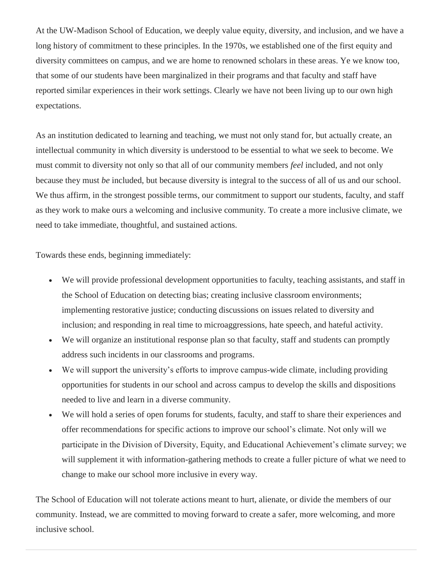At the UW-Madison School of Education, we deeply value equity, diversity, and inclusion, and we have a long history of commitment to these principles. In the 1970s, we established one of the first equity and diversity committees on campus, and we are home to renowned scholars in these areas. Ye we know too, that some of our students have been marginalized in their programs and that faculty and staff have reported similar experiences in their work settings. Clearly we have not been living up to our own high expectations.

As an institution dedicated to learning and teaching, we must not only stand for, but actually create, an intellectual community in which diversity is understood to be essential to what we seek to become. We must commit to diversity not only so that all of our community members *feel* included, and not only because they must *be* included, but because diversity is integral to the success of all of us and our school. We thus affirm, in the strongest possible terms, our commitment to support our students, faculty, and staff as they work to make ours a welcoming and inclusive community. To create a more inclusive climate, we need to take immediate, thoughtful, and sustained actions.

Towards these ends, beginning immediately:

- We will provide professional development opportunities to faculty, teaching assistants, and staff in the School of Education on detecting bias; creating inclusive classroom environments; implementing restorative justice; conducting discussions on issues related to diversity and inclusion; and responding in real time to microaggressions, hate speech, and hateful activity.
- We will organize an institutional response plan so that faculty, staff and students can promptly address such incidents in our classrooms and programs.
- We will support the university's efforts to improve campus-wide climate, including providing opportunities for students in our school and across campus to develop the skills and dispositions needed to live and learn in a diverse community.
- We will hold a series of open forums for students, faculty, and staff to share their experiences and offer recommendations for specific actions to improve our school's climate. Not only will we participate in the Division of Diversity, Equity, and Educational Achievement's climate survey; we will supplement it with information-gathering methods to create a fuller picture of what we need to change to make our school more inclusive in every way.

The School of Education will not tolerate actions meant to hurt, alienate, or divide the members of our community. Instead, we are committed to moving forward to create a safer, more welcoming, and more inclusive school.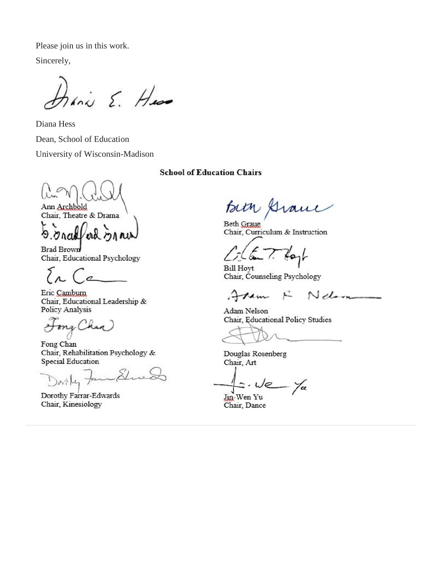Please join us in this work.

Sincerely,

hanis E. Huss

Diana Hess Dean, School of Education University of Wisconsin-Madison

Ann Archbold Chair, Theatre & Drama

ረገ

Brad Brown Chair, Educational Psychology

Eric Camburn Chair, Educational Leadership & Policy Analysis

ma Chan

Fong Chan Chair, Rehabilitation Psychology & Special Education

 $2211$ 

Dorothy Farrar-Edwards Chair, Kinesiology

**School of Education Chairs** 

Bith Grand

Beth Graue Chair, Curriculum & Instruction

**Bill Hovt** Chair, Counseling Psychology

 $N$  dom R tem

Adam Nelson Chair, Educational Policy Studies

Douglas Rosenberg Chair, Art

- Yu - We

Jin-Wen Yu Chair, Dance